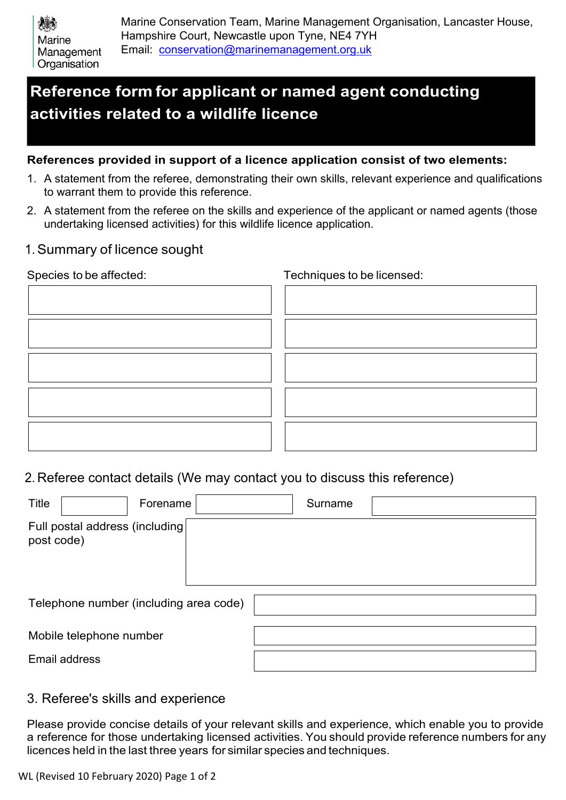## **Reference form for applicant or named agent conducting activities related to a wildlife licence**

## **References provided in support of a licence application consist of two elements:**

- 1. A statement from the referee, demonstrating their own skills, relevant experience and qualifications to warrant them to provide this reference.
- 2. A statement from the referee on the skills and experience of the applicant or named agents (those undertaking licensed activities) for this wildlife licence application.
- 1.Summary of licence sought

Species to be affected: Techniques to be licensed:

2. Referee contact details (We may contact you to discuss this reference)

| Title                   | Forename                               |  | Surname |  |
|-------------------------|----------------------------------------|--|---------|--|
| post code)              | Full postal address (including         |  |         |  |
|                         | Telephone number (including area code) |  |         |  |
| Mobile telephone number |                                        |  |         |  |
|                         | <b>Email address</b>                   |  |         |  |

## 3. Referee's skills and experience

Please provide concise details of your relevant skills and experience, which enable you to provide a reference for those undertaking licensed activities. You should provide reference numbers for any licences held in the last three years for similar species and techniques.